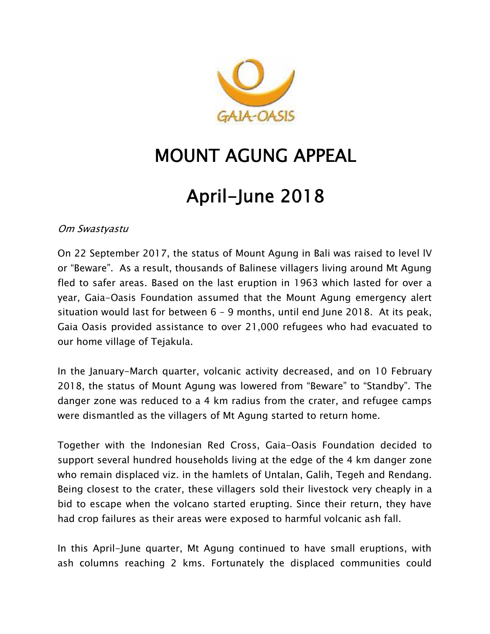

## **MOUNT AGUNG APPEAL**

# **April-June 2018**

*Om Swastyastu*

On 22 September 2017, the status of Mount Agung in Bali was raised to level lV or "Beware". As a result, thousands of Balinese villagers living around Mt Agung fled to safer areas. Based on the last eruption in 1963 which lasted for over a year, Gaia-Oasis Foundation assumed that the Mount Agung emergency alert situation would last for between 6 – 9 months, until end June 2018. At its peak, Gaia Oasis provided assistance to over 21,000 refugees who had evacuated to our home village of Tejakula.

In the January-March quarter, volcanic activity decreased, and on 10 February 2018, the status of Mount Agung was lowered from "Beware" to "Standby". The danger zone was reduced to a 4 km radius from the crater, and refugee camps were dismantled as the villagers of Mt Agung started to return home.

Together with the Indonesian Red Cross, Gaia-Oasis Foundation decided to support several hundred households living at the edge of the 4 km danger zone who remain displaced viz. in the hamlets of Untalan, Galih, Tegeh and Rendang. Being closest to the crater, these villagers sold their livestock very cheaply in a bid to escape when the volcano started erupting. Since their return, they have had crop failures as their areas were exposed to harmful volcanic ash fall.

In this April-June quarter, Mt Agung continued to have small eruptions, with ash columns reaching 2 kms. Fortunately the displaced communities could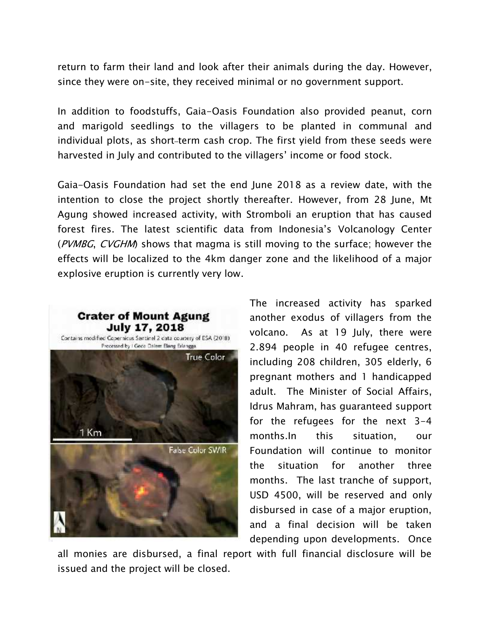return to farm their land and look after their animals during the day. However, since they were on-site, they received minimal or no government support.

In addition to foodstuffs, Gaia-Oasis Foundation also provided peanut, corn and marigold seedlings to the villagers to be planted in communal and individual plots, as short-term cash crop. The first yield from these seeds were harvested in July and contributed to the villagers' income or food stock.

Gaia-Oasis Foundation had set the end June 2018 as a review date, with the intention to close the project shortly thereafter. However, from 28 June, Mt Agung showed increased activity, with Stromboli an eruption that has caused forest fires. The latest scientific data from Indonesia's Volcanology Center (*PVMBG*, *CVGHM*) shows that magma is still moving to the surface; however the effects will be localized to the 4km danger zone and the likelihood of a major explosive eruption is currently very low.



The increased activity has sparked another exodus of villagers from the volcano. As at 19 July, there were 2.894 people in 40 refugee centres, including 208 children, 305 elderly, 6 pregnant mothers and 1 handicapped adult. The Minister of Social Affairs, Idrus Mahram, has guaranteed support for the refugees for the next 3-4 months.In this situation, our Foundation will continue to monitor the situation for another three months. The last tranche of support, USD 4500, will be reserved and only disbursed in case of a major eruption, and a final decision will be taken depending upon developments. Once

all monies are disbursed, a final report with full financial disclosure will be issued and the project will be closed.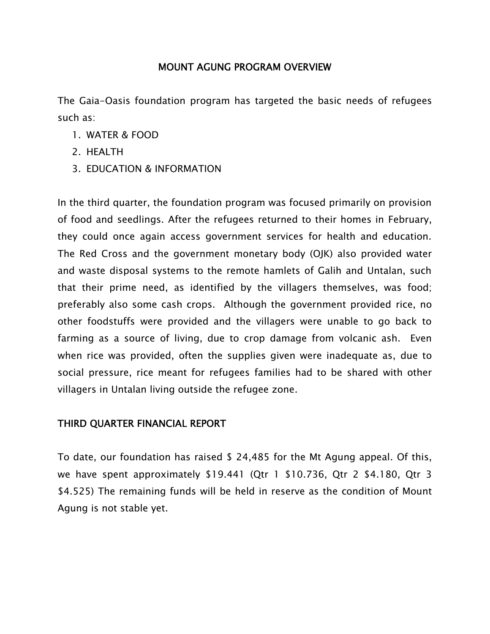#### **MOUNT AGUNG PROGRAM OVERVIEW**

The Gaia-Oasis foundation program has targeted the basic needs of refugees such as:

- 1. WATER & FOOD
- 2. HEALTH
- 3. EDUCATION & INFORMATION

In the third quarter, the foundation program was focused primarily on provision of food and seedlings. After the refugees returned to their homes in February, they could once again access government services for health and education. The Red Cross and the government monetary body (OJK) also provided water and waste disposal systems to the remote hamlets of Galih and Untalan, such that their prime need, as identified by the villagers themselves, was food; preferably also some cash crops. Although the government provided rice, no other foodstuffs were provided and the villagers were unable to go back to farming as a source of living, due to crop damage from volcanic ash. Even when rice was provided, often the supplies given were inadequate as, due to social pressure, rice meant for refugees families had to be shared with other villagers in Untalan living outside the refugee zone.

### **THIRD QUARTER FINANCIAL REPORT**

To date, our foundation has raised \$ 24,485 for the Mt Agung appeal. Of this, we have spent approximately \$19.441 (Qtr 1 \$10.736, Qtr 2 \$4.180, Qtr 3 \$4.525) The remaining funds will be held in reserve as the condition of Mount Agung is not stable yet.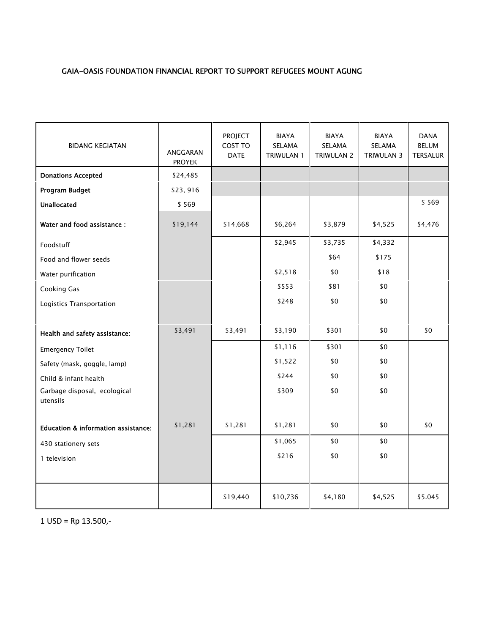#### **GAIA-OASIS FOUNDATION FINANCIAL REPORT TO SUPPORT REFUGEES MOUNT AGUNG**

| <b>BIDANG KEGIATAN</b>                   | ANGGARAN<br><b>PROYEK</b> | <b>PROJECT</b><br>COST TO<br><b>DATE</b> | BIAYA<br>SELAMA<br>TRIWULAN 1 | BIAYA<br>SELAMA<br><b>TRIWULAN 2</b> | BIAYA<br>SELAMA<br>TRIWULAN 3 | <b>DANA</b><br><b>BELUM</b><br><b>TERSALUR</b> |
|------------------------------------------|---------------------------|------------------------------------------|-------------------------------|--------------------------------------|-------------------------------|------------------------------------------------|
| <b>Donations Accepted</b>                | \$24,485                  |                                          |                               |                                      |                               |                                                |
| Program Budget                           | \$23,916                  |                                          |                               |                                      |                               |                                                |
| <b>Unallocated</b>                       | \$569                     |                                          |                               |                                      |                               | \$569                                          |
| Water and food assistance :              | \$19,144                  | \$14,668                                 | \$6,264                       | \$3,879                              | \$4,525                       | \$4,476                                        |
| Foodstuff                                |                           |                                          | \$2,945                       | \$3,735                              | \$4,332                       |                                                |
| Food and flower seeds                    |                           |                                          |                               | \$64                                 | \$175                         |                                                |
| Water purification                       |                           |                                          | \$2,518                       | \$0                                  | \$18                          |                                                |
| Cooking Gas                              |                           |                                          | \$553                         | \$81                                 | \$0                           |                                                |
| Logistics Transportation                 |                           |                                          | \$248                         | \$0                                  | \$0                           |                                                |
|                                          |                           |                                          |                               |                                      |                               |                                                |
| Health and safety assistance:            | \$3,491                   | \$3,491                                  | \$3,190                       | \$301                                | \$0                           | \$0                                            |
| <b>Emergency Toilet</b>                  |                           |                                          | \$1,116                       | \$301                                | \$0                           |                                                |
| Safety (mask, goggle, lamp)              |                           |                                          | \$1,522                       | \$0                                  | \$0                           |                                                |
| Child & infant health                    |                           |                                          | \$244                         | \$0                                  | \$0                           |                                                |
| Garbage disposal, ecological<br>utensils |                           |                                          | \$309                         | \$0                                  | \$0                           |                                                |
| Education & information assistance:      | \$1,281                   | \$1,281                                  | \$1,281                       | \$0                                  | \$0                           | \$0                                            |
| 430 stationery sets                      |                           |                                          | \$1,065                       | \$0                                  | \$0                           |                                                |
| 1 television                             |                           |                                          | \$216                         | \$0                                  | \$0                           |                                                |
|                                          |                           |                                          |                               |                                      |                               |                                                |
|                                          |                           | \$19,440                                 | \$10,736                      | \$4,180                              | \$4,525                       | \$5.045                                        |

1 USD = Rp 13.500,-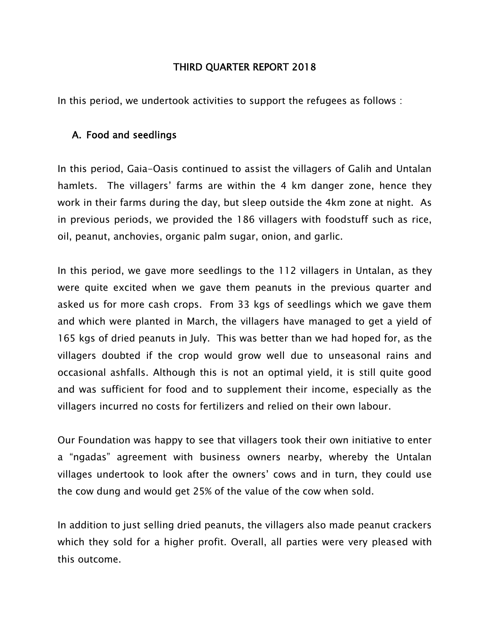#### **THIRD QUARTER REPORT 2018**

In this period, we undertook activities to support the refugees as follows :

#### **A. Food and seedlings**

In this period, Gaia-Oasis continued to assist the villagers of Galih and Untalan hamlets. The villagers' farms are within the 4 km danger zone, hence they work in their farms during the day, but sleep outside the 4km zone at night. As in previous periods, we provided the 186 villagers with foodstuff such as rice, oil, peanut, anchovies, organic palm sugar, onion, and garlic.

In this period, we gave more seedlings to the 112 villagers in Untalan, as they were quite excited when we gave them peanuts in the previous quarter and asked us for more cash crops. From 33 kgs of seedlings which we gave them and which were planted in March, the villagers have managed to get a yield of 165 kgs of dried peanuts in July. This was better than we had hoped for, as the villagers doubted if the crop would grow well due to unseasonal rains and occasional ashfalls. Although this is not an optimal yield, it is still quite good and was sufficient for food and to supplement their income, especially as the villagers incurred no costs for fertilizers and relied on their own labour.

Our Foundation was happy to see that villagers took their own initiative to enter a "ngadas" agreement with business owners nearby, whereby the Untalan villages undertook to look after the owners' cows and in turn, they could use the cow dung and would get 25% of the value of the cow when sold.

In addition to just selling dried peanuts, the villagers also made peanut crackers which they sold for a higher profit. Overall, all parties were very pleased with this outcome.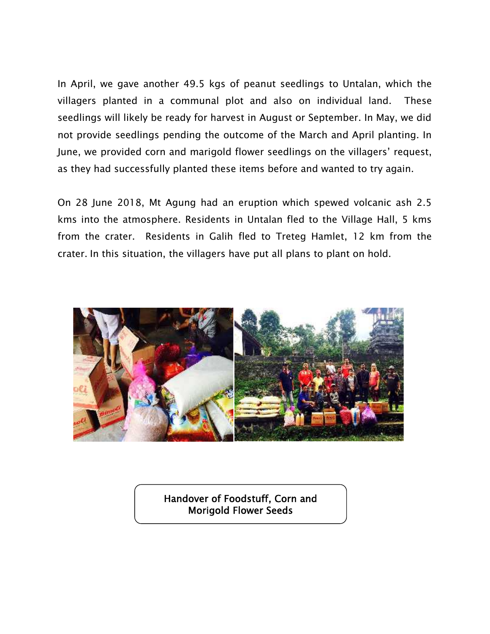In April, we gave another 49.5 kgs of peanut seedlings to Untalan, which the villagers planted in a communal plot and also on individual land. These seedlings will likely be ready for harvest in August or September. In May, we did not provide seedlings pending the outcome of the March and April planting. In June, we provided corn and marigold flower seedlings on the villagers' request, as they had successfully planted these items before and wanted to try again.

On 28 June 2018, Mt Agung had an eruption which spewed volcanic ash 2.5 kms into the atmosphere. Residents in Untalan fled to the Village Hall, 5 kms from the crater. Residents in Galih fled to Treteg Hamlet, 12 km from the crater. In this situation, the villagers have put all plans to plant on hold.



**Handover of Foodstuff, Corn and Morigold Flower Seeds**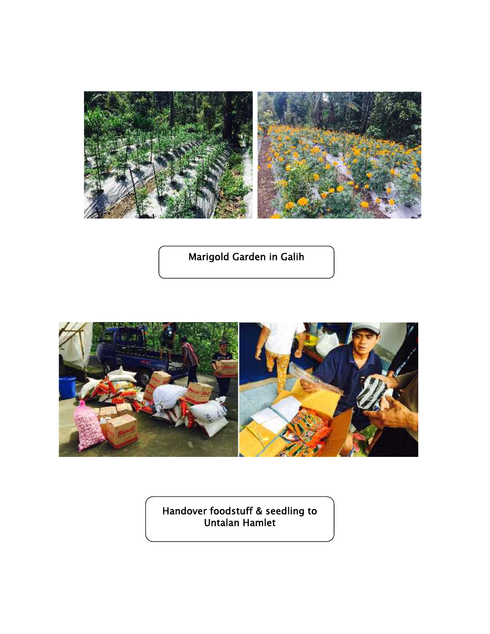

**Marigold Garden in Galih**



**Handover foodstuff & seedling to Untalan Hamlet**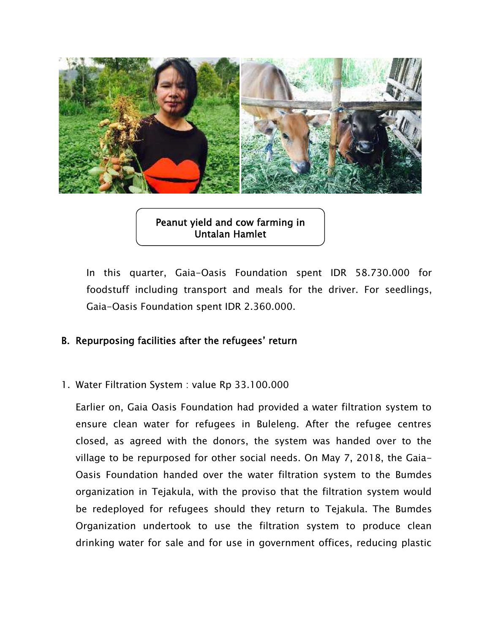

**Peanut yield and cow farming in Untalan Hamlet**

In this quarter, Gaia-Oasis Foundation spent IDR 58.730.000 for foodstuff including transport and meals for the driver. For seedlings, Gaia-Oasis Foundation spent IDR 2.360.000.

### **B. Repurposing facilities after the refugees' return**

1. Water Filtration System : value Rp 33.100.000

Earlier on, Gaia Oasis Foundation had provided a water filtration system to ensure clean water for refugees in Buleleng. After the refugee centres closed, as agreed with the donors, the system was handed over to the village to be repurposed for other social needs. On May 7, 2018, the Gaia- Oasis Foundation handed over the water filtration system to the Bumdes organization in Tejakula, with the proviso that the filtration system would be redeployed for refugees should they return to Tejakula. The Bumdes Organization undertook to use the filtration system to produce clean drinking water for sale and for use in government offices, reducing plastic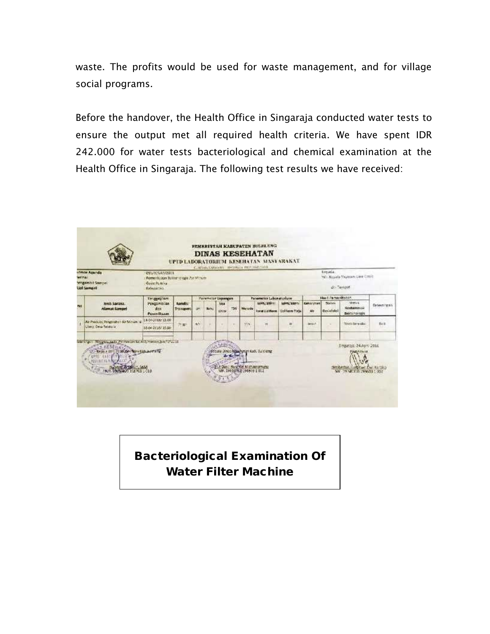waste. The profits would be used for waste management, and for village social programs.

Before the handover, the Health Office in Singaraja conducted water tests to ensure the output met all required health criteria. We have spent IDR 242.000 for water tests bacteriological and chemical examination at the Health Office in Singaraja. The following test results we have received:



### **Bacteriological Examination Of Water Filter Machine**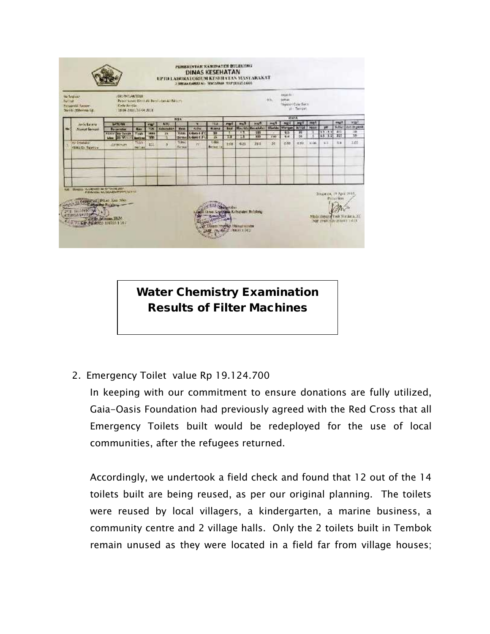| <b>Purched</b> | no Seguro<br><b>Personald Samoe</b><br>North Morina I ¢                                                       | <b>JOHN PHYLIAMS STERN</b><br><b>Gade Attrice</b><br>13848 2421 16 UL ALX         |                                      |                                          | Penel Gary Cross de Berris das Alt fabrico |                                                   |                                               |                               |                                |                                                                                                 |                                                  | 1011                                    | departm.<br><b>SOFTEN</b><br>Wester Cule Sect | ai - Terront:                             |             |                                                                               |                                      |                                            |
|----------------|---------------------------------------------------------------------------------------------------------------|-----------------------------------------------------------------------------------|--------------------------------------|------------------------------------------|--------------------------------------------|---------------------------------------------------|-----------------------------------------------|-------------------------------|--------------------------------|-------------------------------------------------------------------------------------------------|--------------------------------------------------|-----------------------------------------|-----------------------------------------------|-------------------------------------------|-------------|-------------------------------------------------------------------------------|--------------------------------------|--------------------------------------------|
|                | Jeris Barana<br><b>District Sampel</b>                                                                        | <b>EXTURNS</b><br><b>Postereter</b><br><b>KENDY Air Denuty</b><br>Mag. An Ministr | <b>Ums</b><br>TERR<br><b>Bortzon</b> | <b>STAR</b><br><b>TES</b><br>10013<br>30 | <b>ATU</b><br><b>Colemba</b><br>Y.<br>u    | 2159.<br><b>Test</b><br>Tistate<br><b>Service</b> | ×<br><b>Kudnu</b><br>Lidera # 2<br>E done ± 3 | NW<br><b>Marra</b><br>39<br>耳 | max1<br><b>Sed</b><br>n.<br>W. | <b>TYL<sup>4</sup></b><br>23                                                                    | 11477<br><b>Routela Resolution</b><br>531<br>500 | <b>Fair</b><br><b>Warida</b><br>$1 + 1$ | 建設車<br>nuril.<br><b>Manager</b><br>45<br>2.4  | ment I men<br><b>BUSINES</b><br>31<br>SG. | Mitte<br>з  | pet<br>$9.5 - 5.9$<br>$15 - 1.7$                                              | mapfi<br>Schlat<br>36<br>$T_{\rm H}$ | a-tax)<br><b>DECK UNITS</b><br>$10-$<br>1b |
|                | <b>Richmein</b><br><b>GAILES TWANTS</b>                                                                       | <b>AIFWIND</b>                                                                    | 「毛房子<br><b>NOTAR</b>                 | 111                                      | $\alpha$                                   | Tidwe<br>ferein                                   | ve.                                           | 1:04<br>Belova ile            | 260                            | 0.25                                                                                            | 284                                              | 36                                      | 0.88                                          | <b>IE 1931</b>                            | <b>HEAR</b> | $+1$                                                                          | K×                                   | 3,05                                       |
| <b>Kall</b>    | Mental Assessed as Diversality<br>114-328-2127<br>THE PERSON NAMED IN COLUMN TO PERSON NAMED IN COLUMN TO PUT | PERMIT NO SOARNIFORM TATEL<br>capitral Dias Sea Sea                               |                                      |                                          |                                            |                                                   |                                               |                               | <b>Talkit</b><br>$-105$        | provides. Kelturagen Helistens<br>Cours revoltion Manual a richer<br><b>W. BALLY REALT (42)</b> |                                                  |                                         |                                               |                                           |             | -Занджаль, 49 Аргіі 2014.<br>Missile Manager Cock Ward<br>NH IVACAZONICA 1813 | <b>Portrait &amp; KA</b>             |                                            |

**Water Chemistry Examination Results of Filter Machines**

### 2. Emergency Toilet value Rp 19.124.700

In keeping with our commitment to ensure donations are fully utilized, Gaia-Oasis Foundation had previously agreed with the Red Cross that all Emergency Toilets built would be redeployed for the use of local communities, after the refugees returned.

Accordingly, we undertook a field check and found that 12 out of the 14 toilets built are being reused, as per our original planning. The toilets were reused by local villagers, a kindergarten, a marine business, a community centre and 2 village halls. Only the 2 toilets built in Tembok remain unused as they were located in a field far from village houses;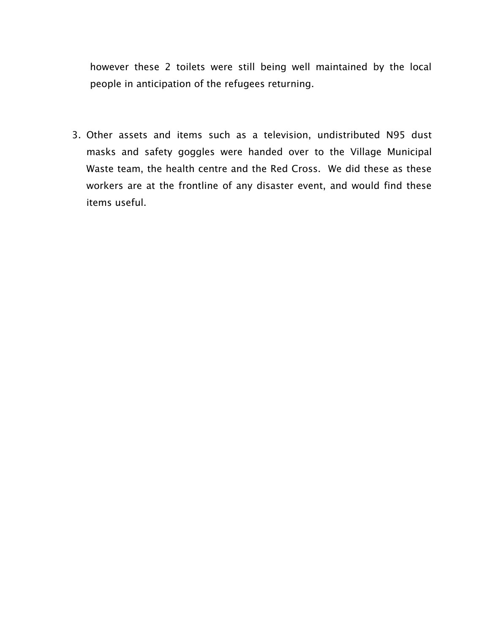however these 2 toilets were still being well maintained by the local people in anticipation of the refugees returning.

3. Other assets and items such as a television, undistributed N95 dust masks and safety goggles were handed over to the Village Municipal Waste team, the health centre and the Red Cross. We did these as these workers are at the frontline of any disaster event, and would find these items useful.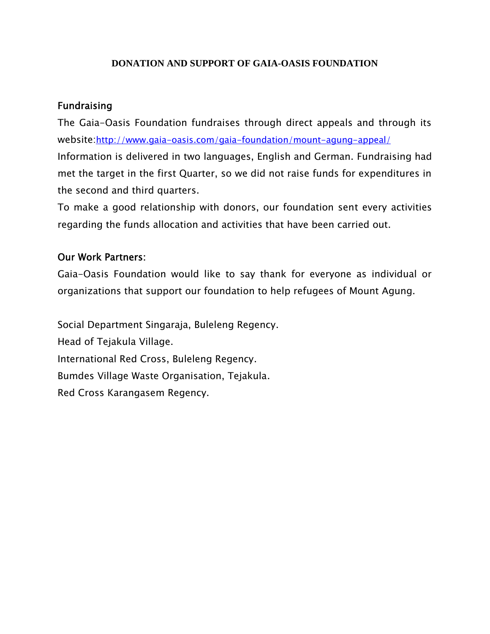#### **DONATION AND SUPPORT OF GAIA-OASIS FOUNDATION**

#### **Fundraising**

The Gaia-Oasis Foundation fundraises through direct appeals and through its website:http://www.gaia-oasis.com/gaia-foundation/mount-agung-appeal/ Information is delivered in two languages, English and German. Fundraising had met the target in the first Quarter, so we did not raise funds for expenditures in the second and third quarters.

To make a good relationship with donors, our foundation sent every activities regarding the funds allocation and activities that have been carried out.

### **Our Work Partners:**

Gaia-Oasis Foundation would like to say thank for everyone as individual or organizations that support our foundation to help refugees of Mount Agung.

Social Department Singaraja, Buleleng Regency. Head of Tejakula Village. International Red Cross, Buleleng Regency. Bumdes Village Waste Organisation, Tejakula. Red Cross Karangasem Regency.